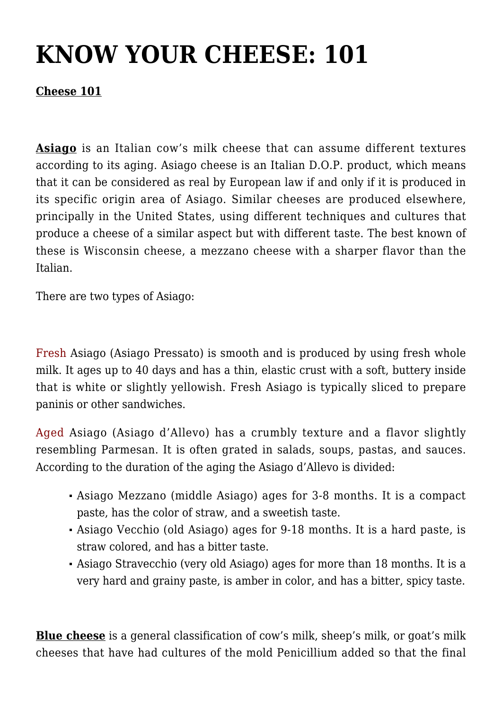## **[KNOW YOUR CHEESE: 101](https://trichilofoods.com/site/know-your-cheese-101/)**

## **Cheese 101**

**Asiago** is an Italian cow's milk cheese that can assume different textures according to its aging. Asiago cheese is an Italian D.O.P. product, which means that it can be considered as real by European law if and only if it is produced in its specific origin area of Asiago. Similar cheeses are produced elsewhere, principally in the United States, using different techniques and cultures that produce a cheese of a similar aspect but with different taste. The best known of these is Wisconsin cheese, a mezzano cheese with a sharper flavor than the Italian.

There are two types of Asiago:

Fresh Asiago (Asiago Pressato) is smooth and is produced by using fresh whole milk. It ages up to 40 days and has a thin, elastic crust with a soft, buttery inside that is white or slightly yellowish. Fresh Asiago is typically sliced to prepare paninis or other sandwiches.

Aged Asiago (Asiago d'Allevo) has a crumbly texture and a flavor slightly resembling Parmesan. It is often grated in salads, soups, pastas, and sauces. According to the duration of the aging the Asiago d'Allevo is divided:

- Asiago Mezzano (middle Asiago) ages for 3-8 months. It is a compact paste, has the color of straw, and a sweetish taste.
- Asiago Vecchio (old Asiago) ages for 9-18 months. It is a hard paste, is straw colored, and has a bitter taste.
- Asiago Stravecchio (very old Asiago) ages for more than 18 months. It is a very hard and grainy paste, is amber in color, and has a bitter, spicy taste.

**Blue cheese** is a general classification of cow's milk, sheep's milk, or goat's milk cheeses that have had cultures of the mold Penicillium added so that the final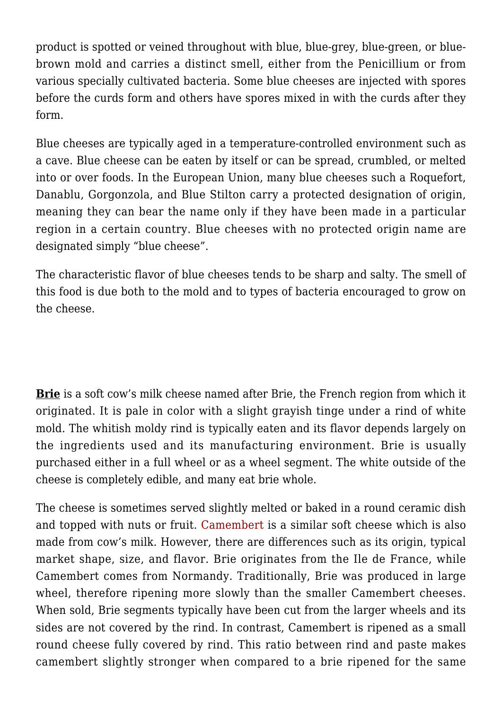product is spotted or veined throughout with blue, blue-grey, blue-green, or bluebrown mold and carries a distinct smell, either from the Penicillium or from various specially cultivated bacteria. Some blue cheeses are injected with spores before the curds form and others have spores mixed in with the curds after they form.

Blue cheeses are typically aged in a temperature-controlled environment such as a cave. Blue cheese can be eaten by itself or can be spread, crumbled, or melted into or over foods. In the European Union, many blue cheeses such a Roquefort, Danablu, Gorgonzola, and Blue Stilton carry a protected designation of origin, meaning they can bear the name only if they have been made in a particular region in a certain country. Blue cheeses with no protected origin name are designated simply "blue cheese".

The characteristic flavor of blue cheeses tends to be sharp and salty. The smell of this food is due both to the mold and to types of bacteria encouraged to grow on the cheese.

**Brie** is a soft cow's milk cheese named after Brie, the French region from which it originated. It is pale in color with a slight grayish tinge under a rind of white mold. The whitish moldy rind is typically eaten and its flavor depends largely on the ingredients used and its manufacturing environment. Brie is usually purchased either in a full wheel or as a wheel segment. The white outside of the cheese is completely edible, and many eat brie whole.

The cheese is sometimes served slightly melted or baked in a round ceramic dish and topped with nuts or fruit. Camembert is a similar soft cheese which is also made from cow's milk. However, there are differences such as its origin, typical market shape, size, and flavor. Brie originates from the Ile de France, while Camembert comes from Normandy. Traditionally, Brie was produced in large wheel, therefore ripening more slowly than the smaller Camembert cheeses. When sold, Brie segments typically have been cut from the larger wheels and its sides are not covered by the rind. In contrast, Camembert is ripened as a small round cheese fully covered by rind. This ratio between rind and paste makes camembert slightly stronger when compared to a brie ripened for the same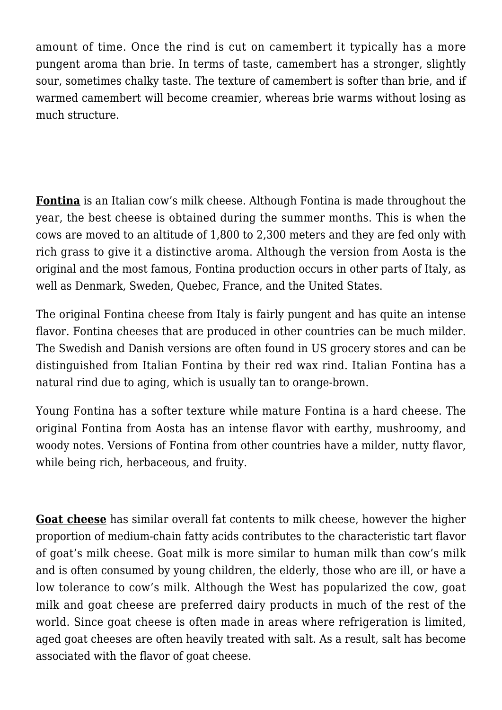amount of time. Once the rind is cut on camembert it typically has a more pungent aroma than brie. In terms of taste, camembert has a stronger, slightly sour, sometimes chalky taste. The texture of camembert is softer than brie, and if warmed camembert will become creamier, whereas brie warms without losing as much structure.

**Fontina** is an Italian cow's milk cheese. Although Fontina is made throughout the year, the best cheese is obtained during the summer months. This is when the cows are moved to an altitude of 1,800 to 2,300 meters and they are fed only with rich grass to give it a distinctive aroma. Although the version from Aosta is the original and the most famous, Fontina production occurs in other parts of Italy, as well as Denmark, Sweden, Quebec, France, and the United States.

The original Fontina cheese from Italy is fairly pungent and has quite an intense flavor. Fontina cheeses that are produced in other countries can be much milder. The Swedish and Danish versions are often found in US grocery stores and can be distinguished from Italian Fontina by their red wax rind. Italian Fontina has a natural rind due to aging, which is usually tan to orange-brown.

Young Fontina has a softer texture while mature Fontina is a hard cheese. The original Fontina from Aosta has an intense flavor with earthy, mushroomy, and woody notes. Versions of Fontina from other countries have a milder, nutty flavor, while being rich, herbaceous, and fruity.

**Goat cheese** has similar overall fat contents to milk cheese, however the higher proportion of medium-chain fatty acids contributes to the characteristic tart flavor of goat's milk cheese. Goat milk is more similar to human milk than cow's milk and is often consumed by young children, the elderly, those who are ill, or have a low tolerance to cow's milk. Although the West has popularized the cow, goat milk and goat cheese are preferred dairy products in much of the rest of the world. Since goat cheese is often made in areas where refrigeration is limited, aged goat cheeses are often heavily treated with salt. As a result, salt has become associated with the flavor of goat cheese.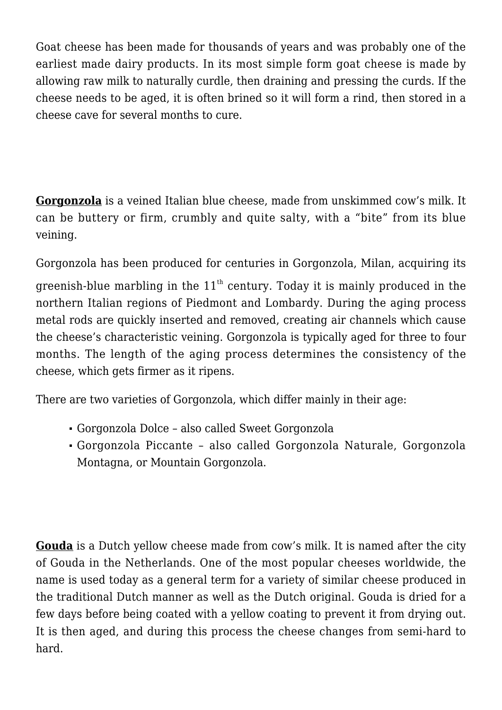Goat cheese has been made for thousands of years and was probably one of the earliest made dairy products. In its most simple form goat cheese is made by allowing raw milk to naturally curdle, then draining and pressing the curds. If the cheese needs to be aged, it is often brined so it will form a rind, then stored in a cheese cave for several months to cure.

**Gorgonzola** is a veined Italian blue cheese, made from unskimmed cow's milk. It can be buttery or firm, crumbly and quite salty, with a "bite" from its blue veining.

Gorgonzola has been produced for centuries in Gorgonzola, Milan, acquiring its greenish-blue marbling in the  $11<sup>th</sup>$  century. Today it is mainly produced in the northern Italian regions of Piedmont and Lombardy. During the aging process metal rods are quickly inserted and removed, creating air channels which cause the cheese's characteristic veining. Gorgonzola is typically aged for three to four months. The length of the aging process determines the consistency of the cheese, which gets firmer as it ripens.

There are two varieties of Gorgonzola, which differ mainly in their age:

- Gorgonzola Dolce also called Sweet Gorgonzola
- Gorgonzola Piccante also called Gorgonzola Naturale, Gorgonzola Montagna, or Mountain Gorgonzola.

**Gouda** is a Dutch yellow cheese made from cow's milk. It is named after the city of Gouda in the Netherlands. One of the most popular cheeses worldwide, the name is used today as a general term for a variety of similar cheese produced in the traditional Dutch manner as well as the Dutch original. Gouda is dried for a few days before being coated with a yellow coating to prevent it from drying out. It is then aged, and during this process the cheese changes from semi-hard to hard.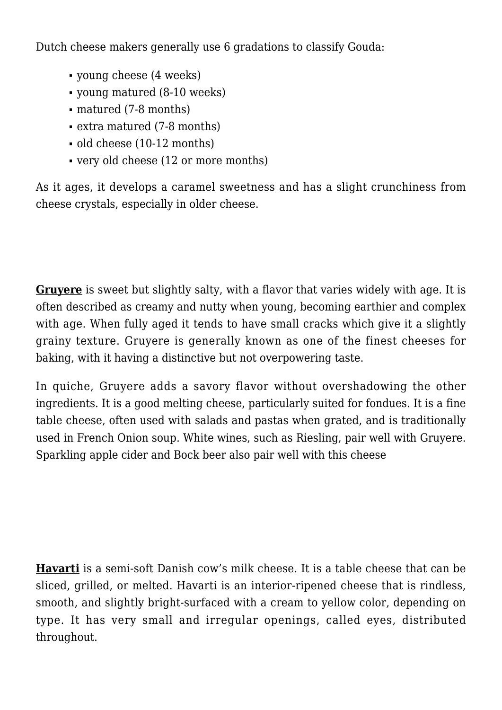Dutch cheese makers generally use 6 gradations to classify Gouda:

- young cheese (4 weeks)
- young matured (8-10 weeks)
- matured (7-8 months)
- extra matured (7-8 months)
- old cheese (10-12 months)
- very old cheese (12 or more months)

As it ages, it develops a caramel sweetness and has a slight crunchiness from cheese crystals, especially in older cheese.

**Gruyere** is sweet but slightly salty, with a flavor that varies widely with age. It is often described as creamy and nutty when young, becoming earthier and complex with age. When fully aged it tends to have small cracks which give it a slightly grainy texture. Gruyere is generally known as one of the finest cheeses for baking, with it having a distinctive but not overpowering taste.

In quiche, Gruyere adds a savory flavor without overshadowing the other ingredients. It is a good melting cheese, particularly suited for fondues. It is a fine table cheese, often used with salads and pastas when grated, and is traditionally used in French Onion soup. White wines, such as Riesling, pair well with Gruyere. Sparkling apple cider and Bock beer also pair well with this cheese

**Havarti** is a semi-soft Danish cow's milk cheese. It is a table cheese that can be sliced, grilled, or melted. Havarti is an interior-ripened cheese that is rindless, smooth, and slightly bright-surfaced with a cream to yellow color, depending on type. It has very small and irregular openings, called eyes, distributed throughout.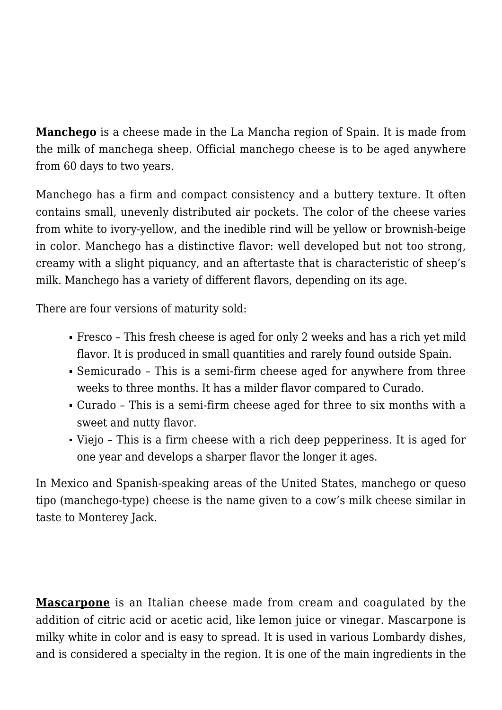**Manchego** is a cheese made in the La Mancha region of Spain. It is made from the milk of manchega sheep. Official manchego cheese is to be aged anywhere from 60 days to two years.

Manchego has a firm and compact consistency and a buttery texture. It often contains small, unevenly distributed air pockets. The color of the cheese varies from white to ivory-yellow, and the inedible rind will be yellow or brownish-beige in color. Manchego has a distinctive flavor: well developed but not too strong, creamy with a slight piquancy, and an aftertaste that is characteristic of sheep's milk. Manchego has a variety of different flavors, depending on its age.

There are four versions of maturity sold:

- Fresco This fresh cheese is aged for only 2 weeks and has a rich yet mild flavor. It is produced in small quantities and rarely found outside Spain.
- Semicurado This is a semi-firm cheese aged for anywhere from three weeks to three months. It has a milder flavor compared to Curado.
- Curado This is a semi-firm cheese aged for three to six months with a sweet and nutty flavor.
- Viejo This is a firm cheese with a rich deep pepperiness. It is aged for one year and develops a sharper flavor the longer it ages.

In Mexico and Spanish-speaking areas of the United States, manchego or queso tipo (manchego-type) cheese is the name given to a cow's milk cheese similar in taste to Monterey Jack.

**Mascarpone** is an Italian cheese made from cream and coagulated by the addition of citric acid or acetic acid, like lemon juice or vinegar. Mascarpone is milky white in color and is easy to spread. It is used in various Lombardy dishes, and is considered a specialty in the region. It is one of the main ingredients in the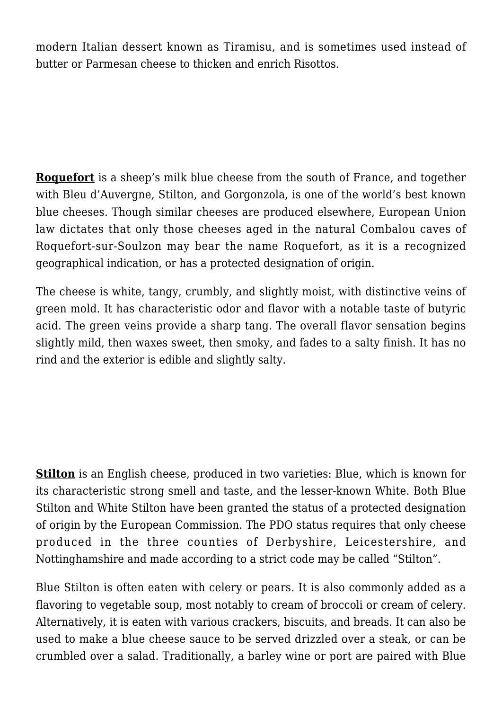modern Italian dessert known as Tiramisu, and is sometimes used instead of butter or Parmesan cheese to thicken and enrich Risottos.

**Roquefort** is a sheep's milk blue cheese from the south of France, and together with Bleu d'Auvergne, Stilton, and Gorgonzola, is one of the world's best known blue cheeses. Though similar cheeses are produced elsewhere, European Union law dictates that only those cheeses aged in the natural Combalou caves of Roquefort-sur-Soulzon may bear the name Roquefort, as it is a recognized geographical indication, or has a protected designation of origin.

The cheese is white, tangy, crumbly, and slightly moist, with distinctive veins of green mold. It has characteristic odor and flavor with a notable taste of butyric acid. The green veins provide a sharp tang. The overall flavor sensation begins slightly mild, then waxes sweet, then smoky, and fades to a salty finish. It has no rind and the exterior is edible and slightly salty.

**Stilton** is an English cheese, produced in two varieties: Blue, which is known for its characteristic strong smell and taste, and the lesser-known White. Both Blue Stilton and White Stilton have been granted the status of a protected designation of origin by the European Commission. The PDO status requires that only cheese produced in the three counties of Derbyshire, Leicestershire, and Nottinghamshire and made according to a strict code may be called "Stilton".

Blue Stilton is often eaten with celery or pears. It is also commonly added as a flavoring to vegetable soup, most notably to cream of broccoli or cream of celery. Alternatively, it is eaten with various crackers, biscuits, and breads. It can also be used to make a blue cheese sauce to be served drizzled over a steak, or can be crumbled over a salad. Traditionally, a barley wine or port are paired with Blue